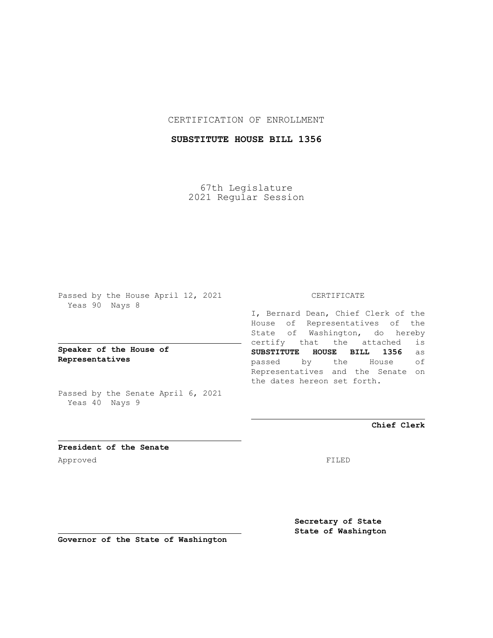### CERTIFICATION OF ENROLLMENT

# **SUBSTITUTE HOUSE BILL 1356**

67th Legislature 2021 Regular Session

Passed by the House April 12, 2021 Yeas 90 Nays 8

**Speaker of the House of Representatives**

Passed by the Senate April 6, 2021 Yeas 40 Nays 9

#### CERTIFICATE

I, Bernard Dean, Chief Clerk of the House of Representatives of the State of Washington, do hereby certify that the attached is **SUBSTITUTE HOUSE BILL 1356** as passed by the House of Representatives and the Senate on the dates hereon set forth.

**Chief Clerk**

**President of the Senate** Approved FILED

**Secretary of State State of Washington**

**Governor of the State of Washington**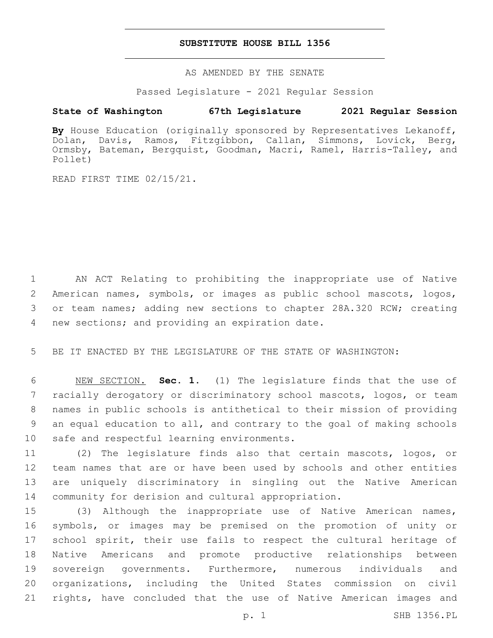#### **SUBSTITUTE HOUSE BILL 1356**

AS AMENDED BY THE SENATE

Passed Legislature - 2021 Regular Session

# **State of Washington 67th Legislature 2021 Regular Session**

**By** House Education (originally sponsored by Representatives Lekanoff, Dolan, Davis, Ramos, Fitzgibbon, Callan, Simmons, Lovick, Berg, Ormsby, Bateman, Bergquist, Goodman, Macri, Ramel, Harris-Talley, and Pollet)

READ FIRST TIME 02/15/21.

1 AN ACT Relating to prohibiting the inappropriate use of Native 2 American names, symbols, or images as public school mascots, logos, 3 or team names; adding new sections to chapter 28A.320 RCW; creating 4 new sections; and providing an expiration date.

5 BE IT ENACTED BY THE LEGISLATURE OF THE STATE OF WASHINGTON:

 NEW SECTION. **Sec. 1.** (1) The legislature finds that the use of racially derogatory or discriminatory school mascots, logos, or team names in public schools is antithetical to their mission of providing an equal education to all, and contrary to the goal of making schools safe and respectful learning environments.

 (2) The legislature finds also that certain mascots, logos, or team names that are or have been used by schools and other entities are uniquely discriminatory in singling out the Native American community for derision and cultural appropriation.

 (3) Although the inappropriate use of Native American names, symbols, or images may be premised on the promotion of unity or 17 school spirit, their use fails to respect the cultural heritage of Native Americans and promote productive relationships between sovereign governments. Furthermore, numerous individuals and organizations, including the United States commission on civil rights, have concluded that the use of Native American images and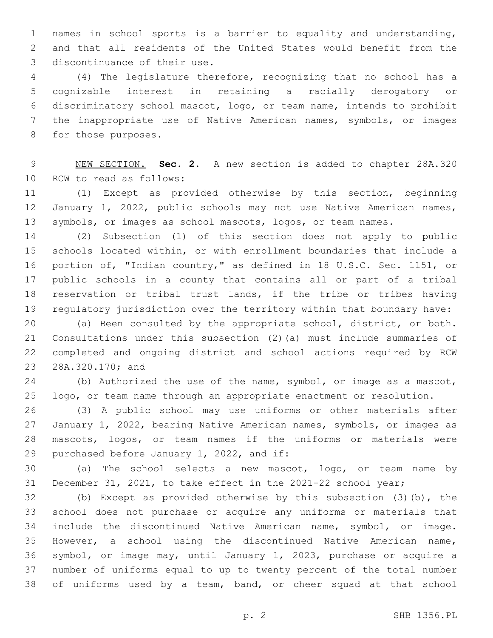names in school sports is a barrier to equality and understanding, and that all residents of the United States would benefit from the 3 discontinuance of their use.

 (4) The legislature therefore, recognizing that no school has a cognizable interest in retaining a racially derogatory or discriminatory school mascot, logo, or team name, intends to prohibit the inappropriate use of Native American names, symbols, or images 8 for those purposes.

 NEW SECTION. **Sec. 2.** A new section is added to chapter 28A.320 10 RCW to read as follows:

 (1) Except as provided otherwise by this section, beginning 12 January 1, 2022, public schools may not use Native American names, symbols, or images as school mascots, logos, or team names.

 (2) Subsection (1) of this section does not apply to public schools located within, or with enrollment boundaries that include a portion of, "Indian country," as defined in 18 U.S.C. Sec. 1151, or public schools in a county that contains all or part of a tribal reservation or tribal trust lands, if the tribe or tribes having regulatory jurisdiction over the territory within that boundary have:

 (a) Been consulted by the appropriate school, district, or both. Consultations under this subsection (2)(a) must include summaries of completed and ongoing district and school actions required by RCW 23 28A.320.170; and

24 (b) Authorized the use of the name, symbol, or image as a mascot, logo, or team name through an appropriate enactment or resolution.

 (3) A public school may use uniforms or other materials after January 1, 2022, bearing Native American names, symbols, or images as mascots, logos, or team names if the uniforms or materials were 29 purchased before January 1, 2022, and if:

 (a) The school selects a new mascot, logo, or team name by December 31, 2021, to take effect in the 2021-22 school year;

 (b) Except as provided otherwise by this subsection (3)(b), the school does not purchase or acquire any uniforms or materials that include the discontinued Native American name, symbol, or image. However, a school using the discontinued Native American name, symbol, or image may, until January 1, 2023, purchase or acquire a number of uniforms equal to up to twenty percent of the total number of uniforms used by a team, band, or cheer squad at that school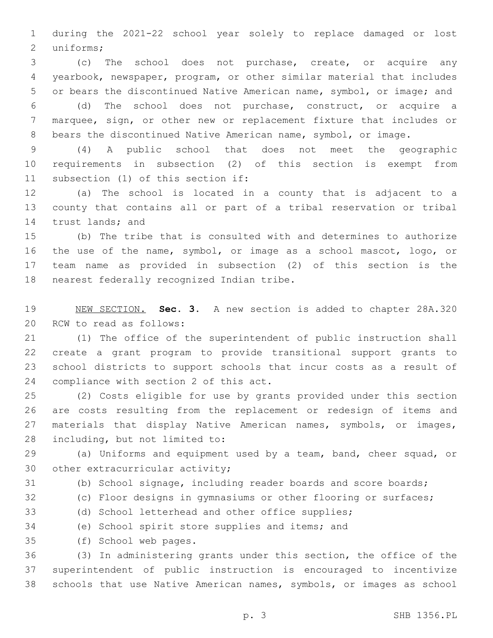during the 2021-22 school year solely to replace damaged or lost 2 uniforms;

 (c) The school does not purchase, create, or acquire any yearbook, newspaper, program, or other similar material that includes or bears the discontinued Native American name, symbol, or image; and

 (d) The school does not purchase, construct, or acquire a marquee, sign, or other new or replacement fixture that includes or bears the discontinued Native American name, symbol, or image.

 (4) A public school that does not meet the geographic requirements in subsection (2) of this section is exempt from 11 subsection (1) of this section if:

 (a) The school is located in a county that is adjacent to a county that contains all or part of a tribal reservation or tribal 14 trust lands; and

 (b) The tribe that is consulted with and determines to authorize the use of the name, symbol, or image as a school mascot, logo, or team name as provided in subsection (2) of this section is the 18 nearest federally recognized Indian tribe.

 NEW SECTION. **Sec. 3.** A new section is added to chapter 28A.320 20 RCW to read as follows:

 (1) The office of the superintendent of public instruction shall create a grant program to provide transitional support grants to school districts to support schools that incur costs as a result of 24 compliance with section 2 of this act.

 (2) Costs eligible for use by grants provided under this section are costs resulting from the replacement or redesign of items and materials that display Native American names, symbols, or images, 28 including, but not limited to:

 (a) Uniforms and equipment used by a team, band, cheer squad, or 30 other extracurricular activity;

(b) School signage, including reader boards and score boards;

(c) Floor designs in gymnasiums or other flooring or surfaces;

- (d) School letterhead and other office supplies;
- (e) School spirit store supplies and items; and
- (f) School web pages.35

 (3) In administering grants under this section, the office of the superintendent of public instruction is encouraged to incentivize schools that use Native American names, symbols, or images as school